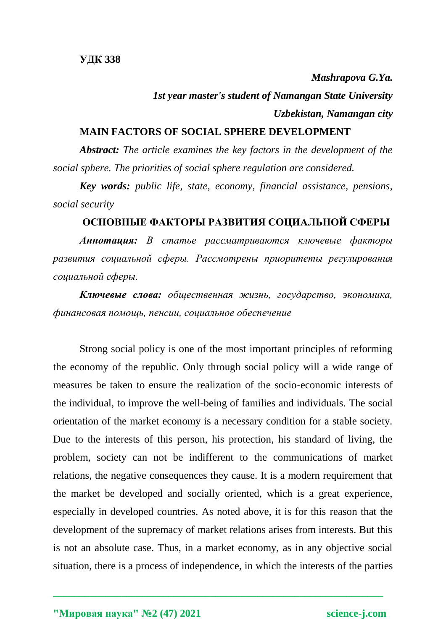*Mashrapova G.Ya. 1st year master's student of Namangan State University Uzbekistan, Namangan city*

## **MAIN FACTORS OF SOCIAL SPHERE DEVELOPMENT**

*Abstract: The article examines the key factors in the development of the social sphere. The priorities of social sphere regulation are considered.*

*Key words: public life, state, economy, financial assistance, pensions, social security*

## **ОСНОВНЫЕ ФАКТОРЫ РАЗВИТИЯ СОЦИАЛЬНОЙ СФЕРЫ**

*Аннотация: В статье рассматриваются ключевые факторы развития социальной сферы. Рассмотрены приоритеты регулирования социальной сферы.*

*Ключевые слова: общественная жизнь, государство, экономика, финансовая помощь, пенсии, социальное обеспечение*

Strong social policy is one of the most important principles of reforming the economy of the republic. Only through social policy will a wide range of measures be taken to ensure the realization of the socio-economic interests of the individual, to improve the well-being of families and individuals. The social orientation of the market economy is a necessary condition for a stable society. Due to the interests of this person, his protection, his standard of living, the problem, society can not be indifferent to the communications of market relations, the negative consequences they cause. It is a modern requirement that the market be developed and socially oriented, which is a great experience, especially in developed countries. As noted above, it is for this reason that the development of the supremacy of market relations arises from interests. But this is not an absolute case. Thus, in a market economy, as in any objective social situation, there is a process of independence, in which the interests of the parties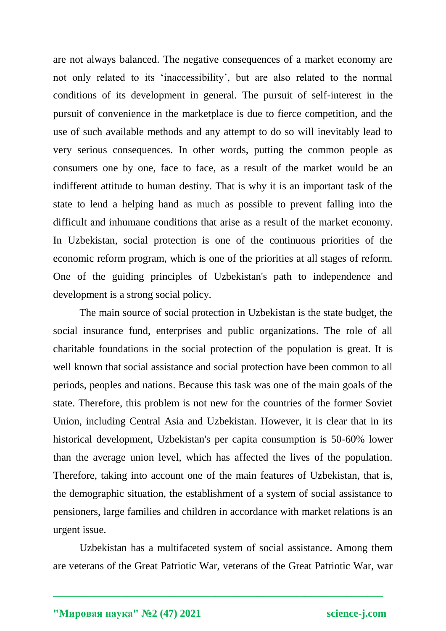are not always balanced. The negative consequences of a market economy are not only related to its 'inaccessibility', but are also related to the normal conditions of its development in general. The pursuit of self-interest in the pursuit of convenience in the marketplace is due to fierce competition, and the use of such available methods and any attempt to do so will inevitably lead to very serious consequences. In other words, putting the common people as consumers one by one, face to face, as a result of the market would be an indifferent attitude to human destiny. That is why it is an important task of the state to lend a helping hand as much as possible to prevent falling into the difficult and inhumane conditions that arise as a result of the market economy. In Uzbekistan, social protection is one of the continuous priorities of the economic reform program, which is one of the priorities at all stages of reform. One of the guiding principles of Uzbekistan's path to independence and development is a strong social policy.

The main source of social protection in Uzbekistan is the state budget, the social insurance fund, enterprises and public organizations. The role of all charitable foundations in the social protection of the population is great. It is well known that social assistance and social protection have been common to all periods, peoples and nations. Because this task was one of the main goals of the state. Therefore, this problem is not new for the countries of the former Soviet Union, including Central Asia and Uzbekistan. However, it is clear that in its historical development, Uzbekistan's per capita consumption is 50-60% lower than the average union level, which has affected the lives of the population. Therefore, taking into account one of the main features of Uzbekistan, that is, the demographic situation, the establishment of a system of social assistance to pensioners, large families and children in accordance with market relations is an urgent issue.

Uzbekistan has a multifaceted system of social assistance. Among them are veterans of the Great Patriotic War, veterans of the Great Patriotic War, war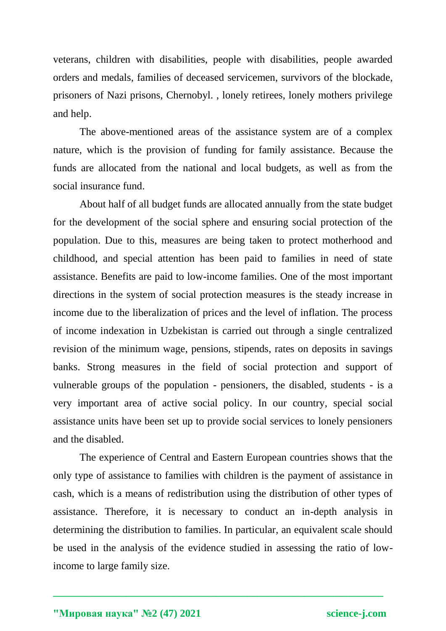veterans, children with disabilities, people with disabilities, people awarded orders and medals, families of deceased servicemen, survivors of the blockade, prisoners of Nazi prisons, Chernobyl. , lonely retirees, lonely mothers privilege and help.

The above-mentioned areas of the assistance system are of a complex nature, which is the provision of funding for family assistance. Because the funds are allocated from the national and local budgets, as well as from the social insurance fund.

About half of all budget funds are allocated annually from the state budget for the development of the social sphere and ensuring social protection of the population. Due to this, measures are being taken to protect motherhood and childhood, and special attention has been paid to families in need of state assistance. Benefits are paid to low-income families. One of the most important directions in the system of social protection measures is the steady increase in income due to the liberalization of prices and the level of inflation. The process of income indexation in Uzbekistan is carried out through a single centralized revision of the minimum wage, pensions, stipends, rates on deposits in savings banks. Strong measures in the field of social protection and support of vulnerable groups of the population - pensioners, the disabled, students - is a very important area of active social policy. In our country, special social assistance units have been set up to provide social services to lonely pensioners and the disabled.

The experience of Central and Eastern European countries shows that the only type of assistance to families with children is the payment of assistance in cash, which is a means of redistribution using the distribution of other types of assistance. Therefore, it is necessary to conduct an in-depth analysis in determining the distribution to families. In particular, an equivalent scale should be used in the analysis of the evidence studied in assessing the ratio of lowincome to large family size.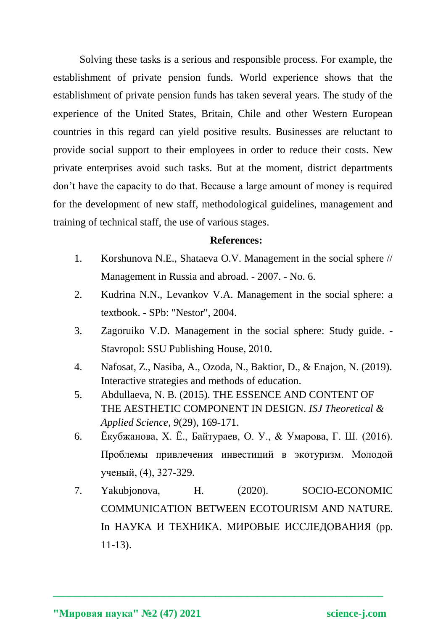Solving these tasks is a serious and responsible process. For example, the establishment of private pension funds. World experience shows that the establishment of private pension funds has taken several years. The study of the experience of the United States, Britain, Chile and other Western European countries in this regard can yield positive results. Businesses are reluctant to provide social support to their employees in order to reduce their costs. New private enterprises avoid such tasks. But at the moment, district departments don't have the capacity to do that. Because a large amount of money is required for the development of new staff, methodological guidelines, management and training of technical staff, the use of various stages.

## **References:**

- 1. Korshunova N.E., Shataeva O.V. Management in the social sphere // Management in Russia and abroad. - 2007. - No. 6.
- 2. Kudrina N.N., Levankov V.A. Management in the social sphere: a textbook. - SPb: "Nestor", 2004.
- 3. Zagoruiko V.D. Management in the social sphere: Study guide. Stavropol: SSU Publishing House, 2010.
- 4. Nafosat, Z., Nasiba, A., Ozoda, N., Baktior, D., & Enajon, N. (2019). Interactive strategies and methods of education.
- 5. Abdullaeva, N. B. (2015). THE ESSENCE AND CONTENT OF THE AESTHETIC COMPONENT IN DESIGN. *ISJ Theoretical & Applied Science*, *9*(29), 169-171.
- 6. Ёкубжанова, Х. Ё., Байтураев, О. У., & Умарова, Г. Ш. (2016). Проблемы привлечения инвестиций в экотуризм. Молодой ученый, (4), 327-329.
- 7. Yakubjonova, H. (2020). SOCIO-ECONOMIC COMMUNICATION BETWEEN ECOTOURISM AND NATURE. In НАУКА И ТЕХНИКА. МИРОВЫЕ ИССЛЕДОВАНИЯ (pp. 11-13).